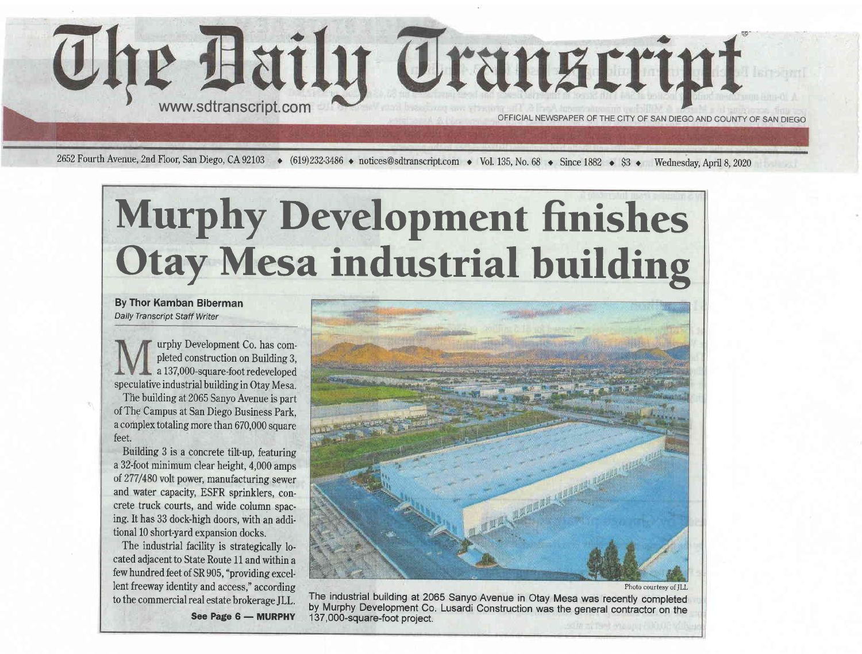

2652 Fourth Avenue, 2nd Floor, San Diego, CA 92103  $\leftrightarrow$  (619)232-3486  $\leftrightarrow$  notices@sdtranscript.com  $\leftrightarrow$  Vol. 135, No. 68  $\leftrightarrow$  Since 1882  $\leftrightarrow$  \$3  $\leftrightarrow$  Wednesday, April 8, 2020

## Murphy Development finishes Otay Mesa industrial building

By Thor Kamban Biberman Daily Transcript Staff Writer

urphy Development Co. has completed construction on Building 3, a 137,000-square-foot redeveloped speculative industrial building in Otay Mesa. The building at 2065 Sanyo Avenue is part of The Campus at San Diego Business Park, a complex totaling more than 670,000 square feet.

Building 3 is a concrete tilt-up, featuring a 32-foot minimum clear height, 4,000 amps of 277/480 volt power, manufacturing sewer and water capacity, ESFR sprinklers, concrete truck courts, and wide column spacing. It has 33 dock-high doors, with an additional 10 short-yard expansion docks.

The industrial facility is strategically located adjacent to State Route 11 and within a few hundred feet of SR 905, "providing excellent freeway identity and access," according to the commercial real estate brokerage ILL.



Photo courtesy of JLL

The industrial building at 2065 Sanyo Avenue in Otay Mesa was recently completed by Murphy Development Co. Lusardi Construction was the general contractor on the <sup>1</sup>37, 000-square-foot project.

See Page 6 - MURPHY